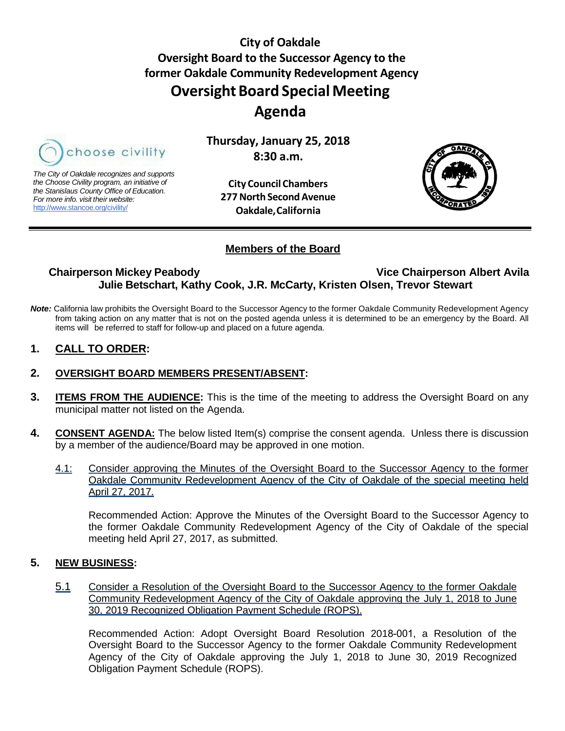**City of Oakdale Oversight Board to the Successor Agency to the former Oakdale Community Redevelopment Agency Oversight Board Special Meeting Agenda**

<span id="page-0-0"></span>

*The City of Oakdale recognizes and supports the Choose Civility program, an initiative of the Stanislaus County Office of Education. For more info. visit their website:* [http://www.stancoe.org/civility/](http://links.schoolloop.com/link/rd?href=736c5f6c696e6b6666303163633065623266687474703a2f2f7777772e7374616e636f652e6f72672f636976696c6974792f)

**City Council Chambers 277North SecondAvenue Oakdale,California**

**Thursday, January 25, 2018 8:30 a.m.**



### **Members of the Board**

## **Chairperson Mickey Peabody Vice Chairperson Albert Avila Julie Betschart, Kathy Cook, J.R. McCarty, Kristen Olsen, Trevor Stewart**

*Note:* California law prohibits the Oversight Board to the Successor Agency to the former Oakdale Community Redevelopment Agency from taking action on any matter that is not on the posted agenda unless it is determined to be an emergency by the Board. All items will be referred to staff for follow-up and placed on a future agenda.

### **1. CALL TO ORDER:**

#### **2. OVERSIGHT BOARD MEMBERS PRESENT/ABSENT:**

- **3. ITEMS FROM THE AUDIENCE:** This is the time of the meeting to address the Oversight Board on any municipal matter not listed on the Agenda.
- **4. CONSENT AGENDA:** The below listed Item(s) comprise the consent agenda. Unless there is discussion by a member of the audience/Board may be approved in one motion.
	- 4.1: Consider approving the Minutes of the Oversight Board to the Successor Agency to the former [Oakdale Community Redevelopment Agency of the City of Oakdale of the special meeting held](#page-2-0)  April 27, 2017.

Recommended Action: Approve the Minutes of the Oversight Board to the Successor Agency to the former Oakdale Community Redevelopment Agency of the City of Oakdale of the special meeting held April 27, 2017, as submitted.

#### **5. NEW BUSINESS:**

5.1 [Consider a Resolution of the Oversight Board to the Successor Agency to the former Oakdale](#page-4-0) Community Redevelopment Agency of the City of Oakdale approving the July 1, 2018 to June 30, 2019 Recognized Obligation Payment Schedule (ROPS).

Recommended Action: Adopt Oversight Board Resolution 2018-001, a Resolution of the Oversight Board to the Successor Agency to the former Oakdale Community Redevelopment Agency of the City of Oakdale approving the July 1, 2018 to June 30, 2019 Recognized Obligation Payment Schedule (ROPS).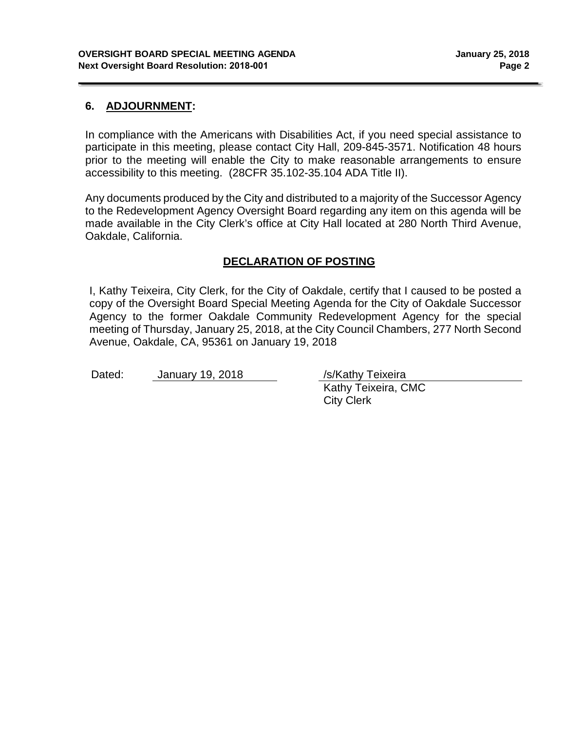### **6. ADJOURNMENT:**

In compliance with the Americans with Disabilities Act, if you need special assistance to participate in this meeting, please contact City Hall, 209-845-3571. Notification 48 hours prior to the meeting will enable the City to make reasonable arrangements to ensure accessibility to this meeting. (28CFR 35.102-35.104 ADA Title II).

Any documents produced by the City and distributed to a majority of the Successor Agency to the Redevelopment Agency Oversight Board regarding any item on this agenda will be made available in the City Clerk's office at City Hall located at 280 North Third Avenue, Oakdale, California.

### **DECLARATION OF POSTING**

I, Kathy Teixeira, City Clerk, for the City of Oakdale, certify that I caused to be posted a copy of the Oversight Board Special Meeting Agenda for the City of Oakdale Successor Agency to the former Oakdale Community Redevelopment Agency for the special meeting of Thursday, January 25, 2018, at the City Council Chambers, 277 North Second Avenue, Oakdale, CA, 95361 on January 19, 2018

Dated: January 19, 2018 /s/Kathy Teixeira

Kathy Teixeira, CMC City Clerk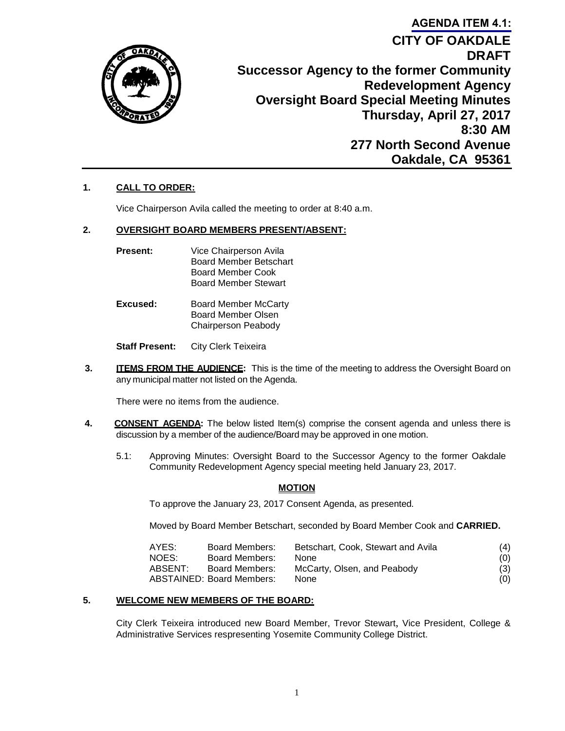<span id="page-2-0"></span>

# **CITY OF OAKDALE DRAFT Successor Agency to the former Community Redevelopment Agency Oversight Board Special Meeting Minutes Thursday, April 27, 2017 8:30 AM 277 North Second Avenue Oakdale, CA 95361 [AGENDA ITEM 4.1:](#page-0-0)**

### **1. CALL TO ORDER:**

Vice Chairperson Avila called the meeting to order at 8:40 a.m.

#### **2. OVERSIGHT BOARD MEMBERS PRESENT/ABSENT:**

- **Present:** Vice Chairperson Avila Board Member Betschart Board Member Cook Board Member Stewart
- **Excused:** Board Member McCarty Board Member Olsen Chairperson Peabody

**Staff Present:** City Clerk Teixeira

**3. ITEMS FROM THE AUDIENCE:** This is the time of the meeting to address the Oversight Board on any municipal matter not listed on the Agenda.

There were no items from the audience.

- **4. CONSENT AGENDA:** The below listed Item(s) comprise the consent agenda and unless there is discussion by a member of the audience/Board may be approved in one motion.
	- 5.1: Approving Minutes: Oversight Board to the Successor Agency to the former Oakdale Community Redevelopment Agency special meeting held January 23, 2017.

#### **MOTION**

To approve the January 23, 2017 Consent Agenda, as presented.

Moved by Board Member Betschart, seconded by Board Member Cook and **CARRIED.**

| AYES:   | Board Members:                   | Betschart, Cook, Stewart and Avila | (4) |
|---------|----------------------------------|------------------------------------|-----|
| NOES:   | Board Members:                   | <b>None</b>                        | (0) |
| ABSENT: | Board Members:                   | McCarty, Olsen, and Peabody        | (3) |
|         | <b>ABSTAINED: Board Members:</b> | <b>None</b>                        | (0) |

#### **5. WELCOME NEW MEMBERS OF THE BOARD:**

City Clerk Teixeira introduced new Board Member, Trevor Stewart, Vice President, College & Administrative Services respresenting Yosemite Community College District.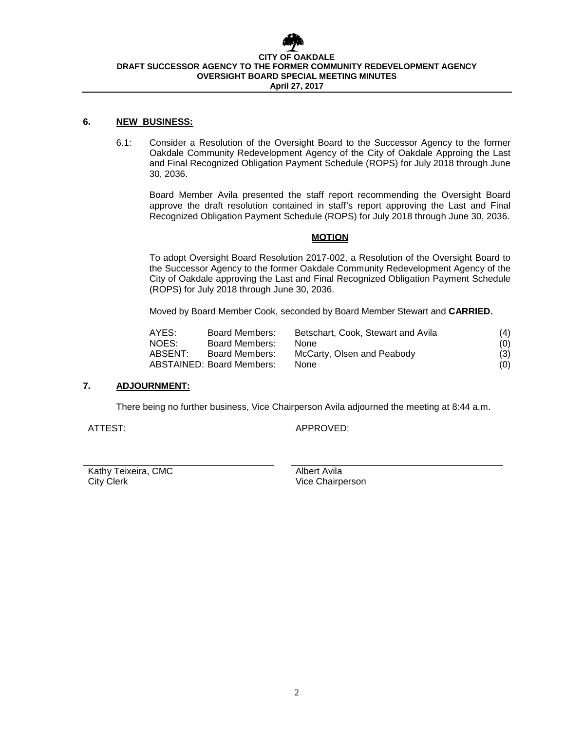

#### **6. NEW BUSINESS:**

6.1: Consider a Resolution of the Oversight Board to the Successor Agency to the former Oakdale Community Redevelopment Agency of the City of Oakdale Approing the Last and Final Recognized Obligation Payment Schedule (ROPS) for July 2018 through June 30, 2036.

Board Member Avila presented the staff report recommending the Oversight Board approve the draft resolution contained in staff's report approving the Last and Final Recognized Obligation Payment Schedule (ROPS) for July 2018 through June 30, 2036.

#### **MOTION**

To adopt Oversight Board Resolution 2017-002, a Resolution of the Oversight Board to the Successor Agency to the former Oakdale Community Redevelopment Agency of the City of Oakdale approving the Last and Final Recognized Obligation Payment Schedule (ROPS) for July 2018 through June 30, 2036.

Moved by Board Member Cook, seconded by Board Member Stewart and **CARRIED.**

| AYES:   | Board Members:            | Betschart, Cook, Stewart and Avila | (4) |
|---------|---------------------------|------------------------------------|-----|
| NOES:   | Board Members:            | <b>None</b>                        | (0) |
| ABSENT: | Board Members:            | McCarty, Olsen and Peabody         | (3) |
|         | ABSTAINED: Board Members: | <b>None</b>                        | (0) |

#### **7. ADJOURNMENT:**

There being no further business, Vice Chairperson Avila adjourned the meeting at 8:44 a.m.

ATTEST: APPROVED:

Kathy Teixeira, CMC<br>City Clerk and City Clerk City Clerk and City Clerk and City Clerk and City Clerk and City Clerk and City Cler<br>Albert Avila

Vice Chairperson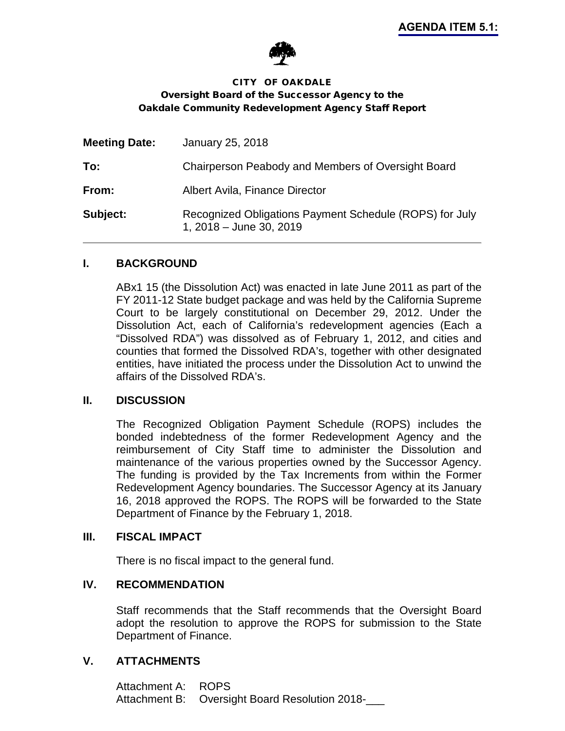

### <span id="page-4-0"></span>CITY OF OAKDALE Oversight Board of the Successor Agency to the Oakdale Community Redevelopment Agency Staff Report

| <b>Meeting Date:</b> | January 25, 2018                                                                   |
|----------------------|------------------------------------------------------------------------------------|
| To:                  | Chairperson Peabody and Members of Oversight Board                                 |
| From:                | Albert Avila, Finance Director                                                     |
| Subject:             | Recognized Obligations Payment Schedule (ROPS) for July<br>1, 2018 - June 30, 2019 |

### **I. BACKGROUND**

ABx1 15 (the Dissolution Act) was enacted in late June 2011 as part of the FY 2011-12 State budget package and was held by the California Supreme Court to be largely constitutional on December 29, 2012. Under the Dissolution Act, each of California's redevelopment agencies (Each a "Dissolved RDA") was dissolved as of February 1, 2012, and cities and counties that formed the Dissolved RDA's, together with other designated entities, have initiated the process under the Dissolution Act to unwind the affairs of the Dissolved RDA's.

#### **II. DISCUSSION**

The Recognized Obligation Payment Schedule (ROPS) includes the bonded indebtedness of the former Redevelopment Agency and the reimbursement of City Staff time to administer the Dissolution and maintenance of the various properties owned by the Successor Agency. The funding is provided by the Tax Increments from within the Former Redevelopment Agency boundaries. The Successor Agency at its January 16, 2018 approved the ROPS. The ROPS will be forwarded to the State Department of Finance by the February 1, 2018.

#### **III. FISCAL IMPACT**

There is no fiscal impact to the general fund.

# **IV. RECOMMENDATION**

Staff recommends that the Staff recommends that the Oversight Board adopt the resolution to approve the ROPS for submission to the State Department of Finance.

### **V. ATTACHMENTS**

Attachment A: ROPS Attachment B: Oversight Board Resolution 2018-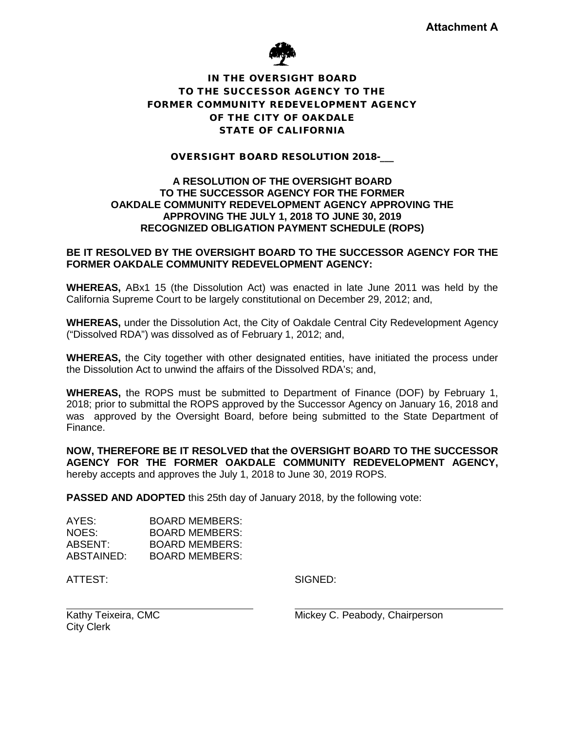

### IN THE OVERSIGHT BOARD TO THE SUCCESSOR AGENCY TO THE FORMER COMMUNITY REDEVELOPMENT AGENCY OF THE CITY OF OAKDALE STATE OF CALIFORNIA

#### OVERSIGHT BOARD RESOLUTION 2018-\_\_\_

#### **A RESOLUTION OF THE OVERSIGHT BOARD TO THE SUCCESSOR AGENCY FOR THE FORMER OAKDALE COMMUNITY REDEVELOPMENT AGENCY APPROVING THE APPROVING THE JULY 1, 2018 TO JUNE 30, 2019 RECOGNIZED OBLIGATION PAYMENT SCHEDULE (ROPS)**

#### **BE IT RESOLVED BY THE OVERSIGHT BOARD TO THE SUCCESSOR AGENCY FOR THE FORMER OAKDALE COMMUNITY REDEVELOPMENT AGENCY:**

**WHEREAS,** ABx1 15 (the Dissolution Act) was enacted in late June 2011 was held by the California Supreme Court to be largely constitutional on December 29, 2012; and,

**WHEREAS,** under the Dissolution Act, the City of Oakdale Central City Redevelopment Agency ("Dissolved RDA") was dissolved as of February 1, 2012; and,

**WHEREAS,** the City together with other designated entities, have initiated the process under the Dissolution Act to unwind the affairs of the Dissolved RDA's; and,

**WHEREAS,** the ROPS must be submitted to Department of Finance (DOF) by February 1, 2018; prior to submittal the ROPS approved by the Successor Agency on January 16, 2018 and was approved by the Oversight Board, before being submitted to the State Department of Finance.

**NOW, THEREFORE BE IT RESOLVED that the OVERSIGHT BOARD TO THE SUCCESSOR AGENCY FOR THE FORMER OAKDALE COMMUNITY REDEVELOPMENT AGENCY,** hereby accepts and approves the July 1, 2018 to June 30, 2019 ROPS.

**PASSED AND ADOPTED** this 25th day of January 2018, by the following vote:

| AYES:      | BOARD MEMBERS:        |
|------------|-----------------------|
| NOES:      | <b>BOARD MEMBERS:</b> |
| ABSENT:    | <b>BOARD MEMBERS:</b> |
| ABSTAINED: | BOARD MEMBERS:        |

ATTEST: SIGNED:

Kathy Teixeira, CMC City Clerk

Mickey C. Peabody, Chairperson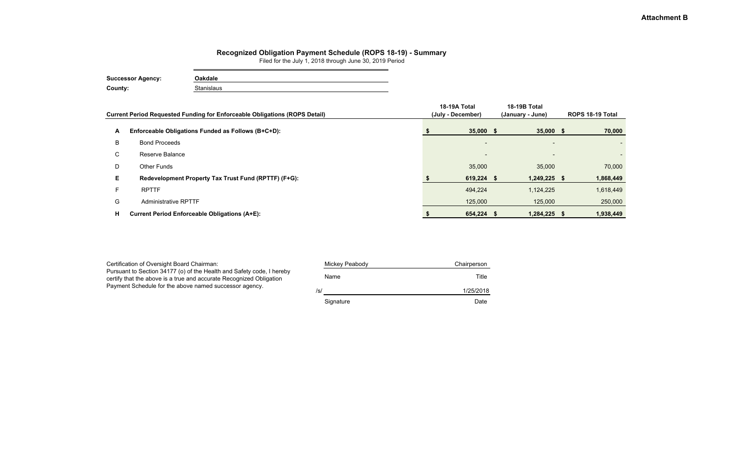|    | Current Period Requested Funding for Enforceable Obligations (ROPS Detail) | 18-19A Total<br>(July - December) | <b>18-19B Total</b><br>(January - June) | ROPS 18-19 Total |           |
|----|----------------------------------------------------------------------------|-----------------------------------|-----------------------------------------|------------------|-----------|
| A  | Enforceable Obligations Funded as Follows (B+C+D):                         | $35,000$ \$                       | $35,000$ \$                             |                  | 70,000    |
| B  | <b>Bond Proceeds</b>                                                       | $\overline{\phantom{a}}$          | $\overline{\phantom{0}}$                |                  |           |
| C  | Reserve Balance                                                            | $\overline{\phantom{0}}$          | $\overline{\phantom{0}}$                |                  |           |
| D  | Other Funds                                                                | 35,000                            | 35,000                                  |                  | 70,000    |
| E. | Redevelopment Property Tax Trust Fund (RPTTF) (F+G):                       | $619,224$ \$                      | $1,249,225$ \$                          |                  | 1,868,449 |
| F  | <b>RPTTF</b>                                                               | 494,224                           | 1,124,225                               |                  | 1,618,449 |
| G  | <b>Administrative RPTTF</b>                                                | 125,000                           | 125,000                                 |                  | 250,000   |
| н  | <b>Current Period Enforceable Obligations (A+E):</b>                       | 654,224 \$                        | 1,284,225 \$                            |                  | 1,938,449 |

| Certification of Oversight Board Chairman:                                                                                                   | Mickey Peabody | Chairperson |
|----------------------------------------------------------------------------------------------------------------------------------------------|----------------|-------------|
| Pursuant to Section 34177 (o) of the Health and Safety code, I hereby<br>certify that the above is a true and accurate Recognized Obligation | Name           | Title       |
| Payment Schedule for the above named successor agency.                                                                                       | /s/            | 1/25/2018   |
|                                                                                                                                              | Signature      | Date        |

#### **Recognized Obligation Payment Schedule (ROPS 18-19) - Summary**

Filed for the July 1, 2018 through June 30, 2019 Period

| <b>Successor Agency:</b> | Oakdale    |
|--------------------------|------------|
| County:                  | Stanislaus |

### **Attachment B**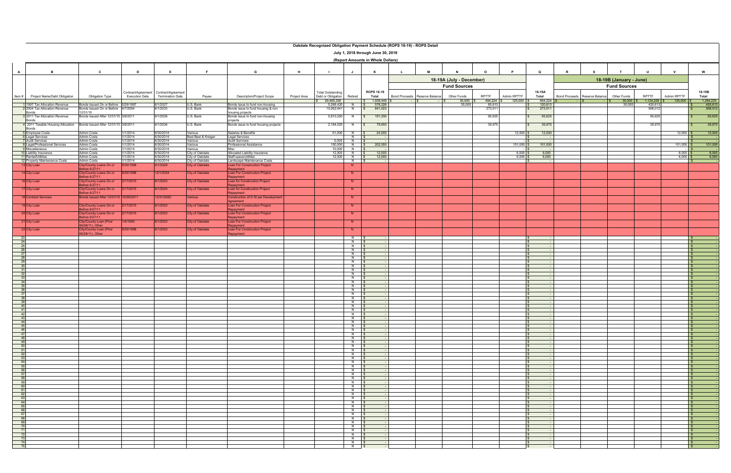|                                                                                              | Oakdale Recognized Obligation Payment Schedule (ROPS 18-19) - ROPS Detail |                                                 |                       |                         |                                    |                                                     |              |                          |                                  |                                    |               |                 |                          |                        |             |                    |   |                               |                         |                                |                          |
|----------------------------------------------------------------------------------------------|---------------------------------------------------------------------------|-------------------------------------------------|-----------------------|-------------------------|------------------------------------|-----------------------------------------------------|--------------|--------------------------|----------------------------------|------------------------------------|---------------|-----------------|--------------------------|------------------------|-------------|--------------------|---|-------------------------------|-------------------------|--------------------------------|--------------------------|
|                                                                                              |                                                                           |                                                 |                       |                         |                                    |                                                     |              |                          |                                  | July 1, 2018 through June 30, 2019 |               |                 |                          |                        |             |                    |   |                               |                         |                                |                          |
|                                                                                              | (Report Amounts in Whole Dollars)                                         |                                                 |                       |                         |                                    |                                                     |              |                          |                                  |                                    |               |                 |                          |                        |             |                    |   |                               |                         |                                |                          |
|                                                                                              |                                                                           |                                                 |                       |                         |                                    |                                                     |              |                          |                                  |                                    |               |                 |                          |                        |             |                    |   |                               |                         |                                |                          |
| A                                                                                            | B                                                                         | $\mathbf{c}$                                    | D                     | Е.                      | F.                                 | G                                                   | H            | - 1                      | J                                | K                                  | L.            | M               | $\mathbf N$              | $\Omega$               | P           | Q                  | R | -S                            | $\mathbf{T}$            | $\cup$<br>$\mathsf{v}$         | W                        |
|                                                                                              |                                                                           |                                                 |                       |                         |                                    |                                                     |              |                          |                                  |                                    |               |                 | 18-19A (July - December) |                        |             |                    |   |                               | 18-19B (January - June) |                                |                          |
|                                                                                              |                                                                           |                                                 |                       |                         |                                    |                                                     |              |                          |                                  |                                    |               |                 | <b>Fund Sources</b>      |                        |             |                    |   |                               | <b>Fund Sources</b>     |                                |                          |
|                                                                                              |                                                                           |                                                 | Contract/Agreement    | Contract/Agreement      |                                    |                                                     |              | <b>Total Outstanding</b> |                                  | <b>ROPS 18-19</b>                  |               |                 |                          |                        |             | 18-19A             |   |                               |                         |                                | 18-19B                   |
| Item#                                                                                        | Project Name/Debt Obligation                                              | Obligation Type                                 | <b>Execution Date</b> | <b>Termination Date</b> | Payee                              | <b>Description/Project Scope</b>                    | Project Area | Debt or Obligation       | Retired                          | Total                              | Bond Proceeds | Reserve Balance | Other Funds              | RPTTF                  | Admin RPTTF | Total              |   | Bond Proceeds Reserve Balance | Other Funds             | RPTTF<br>Admin RPTTF           | Total                    |
|                                                                                              | 1 1997 Tax Allocation Revenue                                             | Bonds Issued On or Before 5/29/1997             |                       | 6/1/2027                | U.S. Bank                          | Bonds issue to fund non-housing                     |              | 29,465,336<br>5,268,420  | $N$ $S$                          | 1,938,449<br>576,226               |               |                 | 35,000<br>35,000         | $494,224$ \$<br>85,613 | 125,000     | 654,224<br>120,613 |   |                               | 35,000<br>35,000        | 1,124,225<br>125,000<br>420,61 | 1,284,225<br>455,613     |
|                                                                                              | 2 2004 Tax Allocation Revenue                                             | Bonds Issued On or Before 4/7/2004              |                       | 6/1/2033                | U.S. Bank                          | Bonds issue to fund housing & non                   |              | 15,952,641               | N                                | 841,023<br>$\mathsf{s}$            |               |                 |                          | 273,011                |             | 273,011            |   |                               |                         | 568,01                         | 568,012                  |
|                                                                                              | Bonds<br><b>8</b> 2011 Tax Allocation Revenue                             | 2/31/10<br>Bonds Issued After 12/31/10 3/8/2011 |                       | 6/1/2036                | U.S. Bank                          | housing projects<br>Bonds issue to fund non-housing |              | 5,810,250                |                                  | 191,250                            |               |                 |                          | 95,625                 |             | 95,625             |   |                               |                         | 95,625                         | 95,625                   |
|                                                                                              | <b>Bonds</b>                                                              |                                                 |                       |                         |                                    | projects                                            |              |                          |                                  |                                    |               |                 |                          |                        |             |                    |   |                               |                         |                                |                          |
|                                                                                              | 4 2011 Taxable Housing Allocation<br>Bonds                                | Bonds Issued After 12/31/10 3/8/2011            |                       | 6/1/2036                | U.S. Bank                          | Bonds issue to fund housing projects                |              | 2,184,025                | N<br>$\mathbb{R}$                | 79,950                             |               |                 |                          | 39,975                 |             | 39,975             |   |                               |                         | 39,975                         | 39,975                   |
|                                                                                              | <b>5</b> Employee Costs                                                   | Admin Costs                                     | 1/1/2014              | 6/30/2014               | Various                            | Salaries & Benefits                                 |              | 61,000                   | N                                | 24,000                             |               |                 |                          |                        | 12,000      | 12,000             |   |                               |                         | $12,000$ \$                    | 12,000                   |
|                                                                                              | <b>6</b> Legal Services<br><b>7</b> Audit Services                        | <b>Admin Costs</b><br>Admin Costs               | 1/1/2014<br>1/1/2014  | 6/30/2014<br>6/30/2014  | Best Best & Kreiger<br>Various     | <b>Legal Services</b><br><b>Audit Services</b>      |              | 5,000                    | N<br>N   \$                      |                                    |               |                 |                          |                        |             |                    |   |                               |                         |                                | $-1$ \$                  |
|                                                                                              | 8 Legal/Professional Services<br>9 Miscellaneous                          | Admin Costs<br>Admin Costs                      | 1/1/2014<br>1/1/2014  | 6/30/2014<br>6/30/2014  | Various<br>Various                 | Professional Assistance<br>Misc                     |              | 150,000<br>10,000        | $\overline{z}$<br>N              | 202,000                            |               |                 |                          |                        | 101,000     | 101,000            |   |                               |                         | $101,000$ \$                   | 101,000<br>-15           |
|                                                                                              | 10 Liability Insurance                                                    | Admin Costs                                     | 1/1/2014              | 6/30/2014               | City of Oakdale                    | Allocated Liability Insurance                       |              | 12,000                   | $\overline{z}$                   | 12,000                             |               |                 |                          |                        | 6,000       | 6,000              |   |                               |                         | $6,000$ \$                     | 6,000                    |
|                                                                                              | 11 Rental/Utilities<br>12 Property Maintenance Costs                      | <b>Admin Costs</b><br>Admin Costs               | 1/1/2014<br>1/1/2014  | 6/30/2014<br>6/30/2014  | City of Oakdale<br>City of Oakdale | Staff space/utilities<br>andscape Maintenance Costs |              | 12,000                   | $N$ $\sqrt{S}$<br>N              | 12,000                             |               |                 |                          |                        | 6,000       | 6,000              |   |                               |                         | $6,000$ \$                     | 6,000<br>ISI             |
|                                                                                              | 13 City Loan                                                              | City/County Loans On or                         | 9/30/1998             | 6/1/2028                | <b>City of Oakdale</b>             | Loan For Construction Project                       |              |                          | N                                |                                    |               |                 |                          |                        |             |                    |   |                               |                         |                                |                          |
|                                                                                              | 14 City Loan                                                              | efore 6/27/11<br>City/County Loans On or        | 9/30/1998             | 12/1/2034               | <b>City of Oakdale</b>             | epayment<br><b>Loan For Construction Project</b>    |              |                          | N                                |                                    |               |                 |                          |                        |             |                    |   |                               |                         |                                |                          |
|                                                                                              |                                                                           | efore 6/27/11                                   |                       |                         |                                    | epayment                                            |              |                          |                                  |                                    |               |                 |                          |                        |             |                    |   |                               |                         |                                |                          |
|                                                                                              | 6 City Loan                                                               | lity/County Loans On or<br>efore 6/27/11        | 2/17/2015             | 3/1/2023                | City of Oakdale                    | Loan for Construction Project<br>epayment           |              |                          | N.                               |                                    |               |                 |                          |                        |             |                    |   |                               |                         |                                |                          |
|                                                                                              | 17 City Loan                                                              | City/County Loans On or<br>Before 6/27/11       | 2/17/2015             | 9/1/2024                | City of Oakdale                    | Loan for Construction Project                       |              |                          | N                                |                                    |               |                 |                          |                        |             |                    |   |                               |                         |                                |                          |
|                                                                                              | <b>8</b> Contract Services                                                | onds Issued After 12/31/10 10/26/2011           |                       | 12/31/2020              | /arious                            | epayment<br>Construction of D St per Developme      |              |                          | N                                |                                    |               |                 |                          |                        |             |                    |   |                               |                         |                                |                          |
|                                                                                              | 9 City Loan                                                               | City/County Loans On or                         | 2/17/2015             | 6/1/2023                | City of Oakdale                    | Aareement<br>Loan For Construction Project          |              |                          | N                                |                                    |               |                 |                          |                        |             |                    |   |                               |                         |                                |                          |
|                                                                                              |                                                                           | efore 6/27/11                                   |                       |                         |                                    | epayment                                            |              |                          |                                  |                                    |               |                 |                          |                        |             |                    |   |                               |                         |                                |                          |
|                                                                                              | 20 City Loan                                                              | ity/County Loans On or<br>fore 6/27/11          | 2/17/2015             | 3/1/2023                | City of Oakdale                    | Loan For Construction Project<br>epayment           |              |                          | N                                |                                    |               |                 |                          |                        |             |                    |   |                               |                         |                                |                          |
|                                                                                              | 21 City Loan                                                              | lity/County Loan (Prior                         | 1/4/1900              | 3/1/2023                | City of Oakdale                    | <b>Loan For Construction Project</b>                |              |                          | N                                |                                    |               |                 |                          |                        |             |                    |   |                               |                         |                                |                          |
|                                                                                              | 22 City Loan                                                              | 6/28/11), Other<br>ity/County Loan (Prior       | 9/30/1998             | 6/1/2023                | <b>City of Oakdale</b>             | epayment<br><b>Loan For Construction Project</b>    |              |                          | N                                |                                    |               |                 |                          |                        |             |                    |   |                               |                         |                                |                          |
|                                                                                              |                                                                           | 06/28/11), Other                                |                       |                         |                                    | epayment                                            |              |                          |                                  |                                    |               |                 |                          |                        |             |                    |   |                               |                         |                                |                          |
| 23<br>24                                                                                     |                                                                           |                                                 |                       |                         |                                    |                                                     |              |                          | N<br>N.                          |                                    |               |                 |                          |                        |             |                    |   |                               |                         |                                | ∣\$<br>l S               |
| 25<br>26                                                                                     |                                                                           |                                                 |                       |                         |                                    |                                                     |              |                          | $N$ s<br>$N$ $s$                 |                                    |               |                 |                          |                        |             |                    |   |                               |                         |                                | IS-<br>IS.               |
| 27                                                                                           |                                                                           |                                                 |                       |                         |                                    |                                                     |              |                          | $N$ \$                           |                                    |               |                 |                          |                        |             |                    |   |                               |                         |                                | IS-                      |
| 28                                                                                           |                                                                           |                                                 |                       |                         |                                    |                                                     |              |                          | N<br>$N$ \$                      |                                    |               |                 |                          |                        |             |                    |   |                               |                         |                                | I SI<br>l Si             |
| $\begin{array}{r} 29 \\ 30 \end{array}$                                                      |                                                                           |                                                 |                       |                         |                                    |                                                     |              |                          | $N$ $s$                          |                                    |               |                 |                          |                        |             |                    |   |                               |                         |                                | IS.                      |
| 31<br>32                                                                                     |                                                                           |                                                 |                       |                         |                                    |                                                     |              |                          | $\overline{N}$<br>N              |                                    |               |                 |                          |                        |             |                    |   |                               |                         |                                | $\mathsf{S}$<br>IS-      |
| 33                                                                                           |                                                                           |                                                 |                       |                         |                                    |                                                     |              |                          | N<br>$\sim$                      |                                    |               |                 |                          |                        |             |                    |   |                               |                         |                                | IS-                      |
| $\begin{array}{r}\n 34 \\ \hline\n 35 \\ \hline\n 36\n \end{array}$                          |                                                                           |                                                 |                       |                         |                                    |                                                     |              |                          | $N$ $S$<br>$N$ \$                |                                    |               |                 |                          |                        |             |                    |   |                               |                         |                                | $\mathsf{S}$<br>IS-      |
| 37                                                                                           |                                                                           |                                                 |                       |                         |                                    |                                                     |              |                          | N<br><b>N</b>                    |                                    |               |                 |                          |                        |             |                    |   |                               |                         |                                | IS.<br>I SI              |
| $\frac{38}{39}$                                                                              |                                                                           |                                                 |                       |                         |                                    |                                                     |              |                          | N                                |                                    |               |                 |                          |                        |             |                    |   |                               |                         |                                | $\overline{\bullet}$     |
| 40                                                                                           |                                                                           |                                                 |                       |                         |                                    |                                                     |              |                          | $N$ \$<br>N                      |                                    |               |                 |                          |                        |             |                    |   |                               |                         |                                | $\mathsf{S}$<br>IS-      |
| $-41$                                                                                        |                                                                           |                                                 |                       |                         |                                    |                                                     |              |                          | N IS                             |                                    |               |                 |                          |                        |             |                    |   |                               |                         |                                |                          |
|                                                                                              |                                                                           |                                                 |                       |                         |                                    |                                                     |              |                          | $N$ \$<br>$N$ \$                 |                                    |               |                 |                          |                        |             |                    |   |                               |                         |                                | $\sqrt{S}$<br>$\sqrt{S}$ |
|                                                                                              |                                                                           |                                                 |                       |                         |                                    |                                                     |              |                          | $N$ $\sqrt{S}$                   |                                    |               |                 |                          |                        |             |                    |   |                               |                         |                                | $\sqrt{S}$               |
|                                                                                              |                                                                           |                                                 |                       |                         |                                    |                                                     |              |                          | $N$ $\sqrt{S}$<br>$N$ \$         |                                    |               |                 |                          |                        |             |                    |   |                               |                         |                                | $\vert$ s                |
|                                                                                              |                                                                           |                                                 |                       |                         |                                    |                                                     |              |                          | $N$ \$<br>$N$ \$                 |                                    |               |                 |                          |                        |             |                    |   |                               |                         |                                | $\sqrt{s}$<br>$\sqrt{S}$ |
|                                                                                              |                                                                           |                                                 |                       |                         |                                    |                                                     |              |                          | $N$ \$                           |                                    |               |                 |                          |                        |             |                    |   |                               |                         |                                | $\sqrt{S}$               |
|                                                                                              |                                                                           |                                                 |                       |                         |                                    |                                                     |              |                          | $N$ \$<br>$N$ \$                 |                                    |               |                 |                          |                        |             |                    |   |                               |                         |                                | $\sqrt{s}$<br>$\sqrt{s}$ |
|                                                                                              |                                                                           |                                                 |                       |                         |                                    |                                                     |              |                          | $N$ \$<br>$N$ \$                 |                                    |               |                 |                          |                        |             |                    |   |                               |                         |                                | $\sqrt{S}$               |
|                                                                                              |                                                                           |                                                 |                       |                         |                                    |                                                     |              |                          | $N$ \$                           |                                    |               |                 |                          |                        |             |                    |   |                               |                         |                                | $\vert$ \$<br>I\$ ⊺      |
|                                                                                              |                                                                           |                                                 |                       |                         |                                    |                                                     |              |                          | $N$ \$<br>$N$ \$                 |                                    |               |                 |                          |                        |             |                    |   |                               |                         |                                | $\sqrt{s}$<br>$\sqrt{5}$ |
|                                                                                              |                                                                           |                                                 |                       |                         |                                    |                                                     |              |                          | $N$ \$                           |                                    |               |                 |                          |                        |             |                    |   |                               |                         |                                | $\sqrt{S}$               |
|                                                                                              |                                                                           |                                                 |                       |                         |                                    |                                                     |              |                          | $N$ $\sqrt{S}$<br>$N$ $s$        |                                    |               |                 |                          |                        |             |                    |   |                               |                         |                                | $\sqrt{2}$               |
|                                                                                              |                                                                           |                                                 |                       |                         |                                    |                                                     |              |                          | $N$ \$                           |                                    |               |                 |                          |                        |             |                    |   |                               |                         |                                | $\sqrt{s}$               |
|                                                                                              |                                                                           |                                                 |                       |                         |                                    |                                                     |              |                          | $N$ \$<br>$N$ \$                 |                                    |               |                 |                          |                        |             |                    |   |                               |                         |                                | $\sqrt{3}$<br>I\$ ⊺      |
| 62<br>63<br>64<br>66<br>66<br>66<br>68<br>7<br>7<br>7<br>7<br>7<br>7<br>7<br>7<br>7<br><br>7 |                                                                           |                                                 |                       |                         |                                    |                                                     |              |                          | $N$ $\sqrt{s}$                   |                                    |               |                 |                          |                        |             |                    |   |                               |                         |                                | $\frac{1}{3}$            |
|                                                                                              |                                                                           |                                                 |                       |                         |                                    |                                                     |              |                          | $N$ \$<br>$N$ $\sqrt{S}$         |                                    |               |                 |                          |                        |             |                    |   |                               |                         |                                | $\sqrt{S}$               |
|                                                                                              |                                                                           |                                                 |                       |                         |                                    |                                                     |              |                          | $N$ $\sqrt{S}$<br>$N$ $\sqrt{S}$ |                                    |               |                 |                          |                        |             |                    |   |                               |                         |                                |                          |
|                                                                                              |                                                                           |                                                 |                       |                         |                                    |                                                     |              |                          | $N$ \$                           |                                    |               |                 |                          |                        |             |                    |   |                               |                         |                                | $\sqrt{3}$               |
|                                                                                              |                                                                           |                                                 |                       |                         |                                    |                                                     |              |                          | $N$ $s$<br>$N$ $\sqrt{S}$        |                                    |               |                 |                          |                        |             |                    |   |                               |                         |                                | $\sqrt{S}$               |
|                                                                                              |                                                                           |                                                 |                       |                         |                                    |                                                     |              |                          | $N$ \$                           |                                    |               |                 |                          |                        |             |                    |   |                               |                         |                                | $\vert$ s                |
|                                                                                              |                                                                           |                                                 |                       |                         |                                    |                                                     |              |                          | $N$ \$<br>$N$ \$                 |                                    |               |                 |                          |                        |             |                    |   |                               |                         |                                | $\sqrt{s}$<br>$\sqrt{S}$ |
|                                                                                              |                                                                           |                                                 |                       |                         |                                    |                                                     |              |                          | N \$                             |                                    |               |                 |                          |                        |             |                    |   |                               |                         |                                |                          |
|                                                                                              |                                                                           |                                                 |                       |                         |                                    |                                                     |              |                          | $N$ \$                           |                                    |               |                 |                          |                        |             |                    |   |                               |                         |                                | $\sqrt{s}$               |